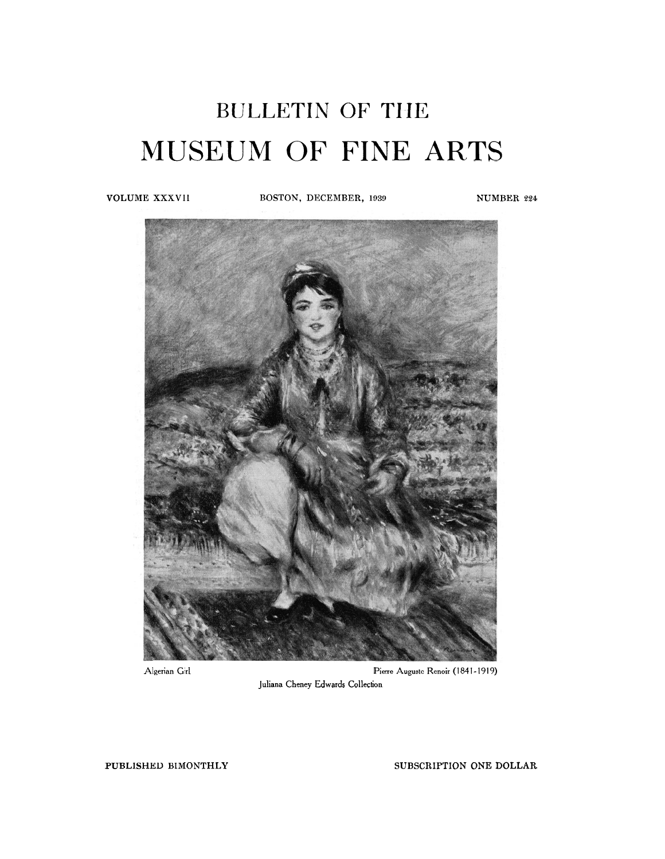# BULLETIN OF THE MUSEUM OF FINE ARTS

**VOLUME XXXVII BOSTON, DECEMBER, 1939 NUMBER 224** 



**Algerian Girl Pierre Auguste Renoir (1841-1919) Juliana Cheney Edwards Collection** 

**PUBLISHED BIMONTHLY** SUBSCRIPTION ONE DOLLAR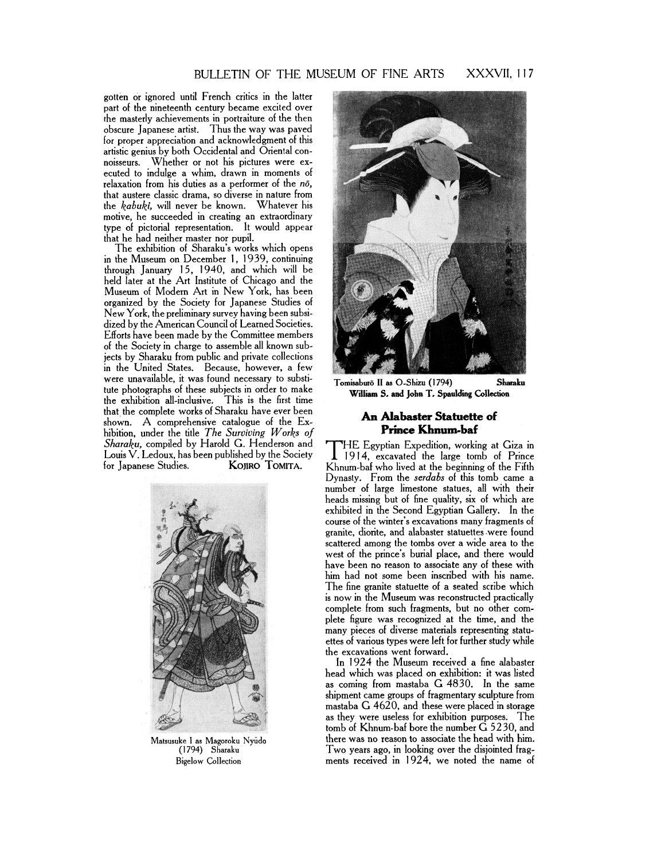## BULLETIN OF THE MUSEUM OF FINE ARTS XXXVII, 117

gotten or ignored until French critics in the latter part of the nineteenth century became excited over the masterly achievements in portraiture of the then obscure Japanese artist. Thus the way was paved for proper appreciation and acknowledgment of this artistic genius by both Occidental and Oriental connoisseurs. Whether or not his pictures were executed to indulge a whim, drawn in moments of relaxation from his duties as a performer of the *no,*  that austere classic drama, so diverse in nature from the *kabuki,* will never be known. Whatever his motive, he succeeded in creating an extraordinary type of pictorial representation. It would appear that he had neither master nor pupil.

The exhibition of Sharaku's works which opens in the Museum on December 1, 1939, continuing through January 15, 1940, and which will be held later at the Art Institute of Chicago and the Museum of Modern Art in New York, has been organized by the Society for Japanese Studies of New York, the preliminary survey having been subsidized by the American Council of Learned Societies. Efforts have been made by the Committee members of the Society in charge to assemble all known subjects by Sharaku from public and private collections in the United States. Because, however, a few were unavailable, it was found necessary to substitute photographs of these subjects in order to make the exhibition all-inclusive. This is the first time that the complete works of Sharaku have ever been shown. **A** comprehensive catalogue of the Exhibition, under the title *The Surviving Works of Sharaku,* compiled by Harold G. Henderson and **HE Egyptian Expedition, working at Giza in**<br>Louis V. Ledoux, has been published by the Society 1914, excavated the large tomb of Prince Louis V. Ledoux, has been published by the Society 1914, excavated the large tomb of Prince KOJIRO TOMITA.



Matsusuke I as Magoroku Nyudo (1 794) Sharaku Bigelow Collection



Tomisaburo II as O-Shizu (1794) Sharaku William S. and John T. Spaulding Collection

### **An Alabaster Statuette of Prince Khnum-baf**

Khnum-baf who lived at the beginning of the Fifth Dynasly. From the *serdabs* **of** this tomb came a number of large limestone statues, all with their heads missing but of fine quality, six of which are exhibited in the Second Egyptian Gallery. In the course of the winter's excavations many fragments of granite, diorite, and alabaster statuettes .were found scattered among the tombs over a wide area to the west of the prince's burial place, and there would have been no reason to associate any of these with him had not some been inscribed with his name. The fine granite statuette of a seated scribe which is now in the Museum was reconstructed practically complete from such fragments, but no other complete figure was recognized at the time, and the many pieces of diverse materials representing statuettes of various types were left for further study while the excavations went forward.

In 1924 the Museum received a fine alabaster head which was placed on exhibition: it was listed as coming from mastaba G4830. In the same shipment came groups of fragmentary sculpture from mastaba G4620, and these were placed in storage as they were useless for exhibition purposes. The tomb of Khnum-baf bore the number G 5230, and there was no reason to associate the head with him. Two years ago, in looking over the disjointed fragments received in 1924, we noted the name of